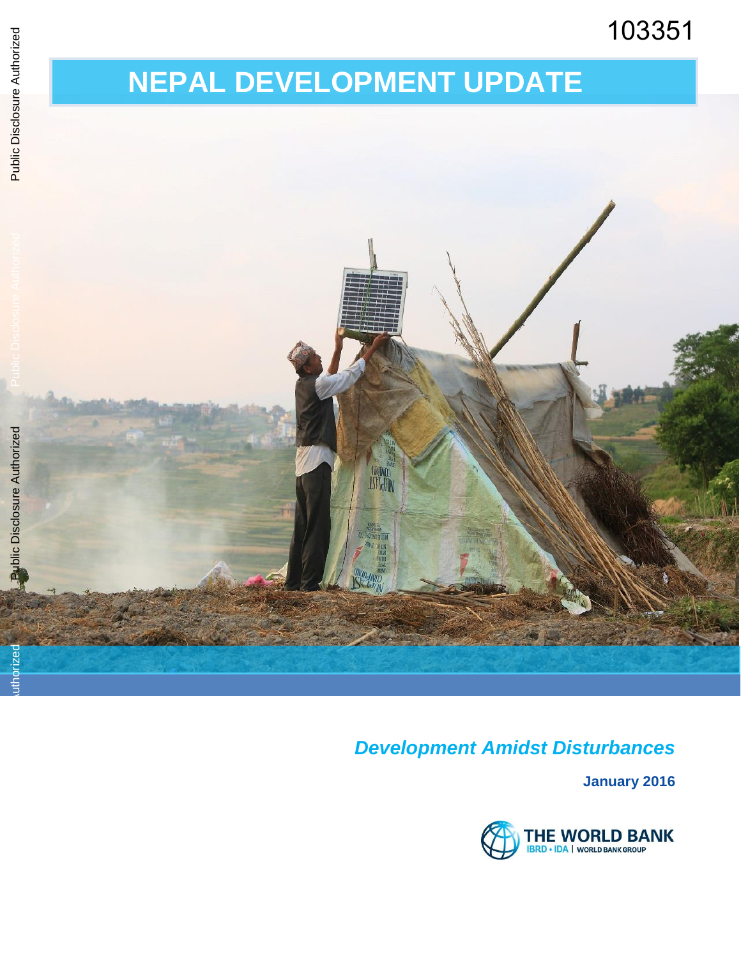# 103351

# **NEPAL DEVELOPMENT UPDATE**



### *Development Amidst Disturbances*

**January 2016** 

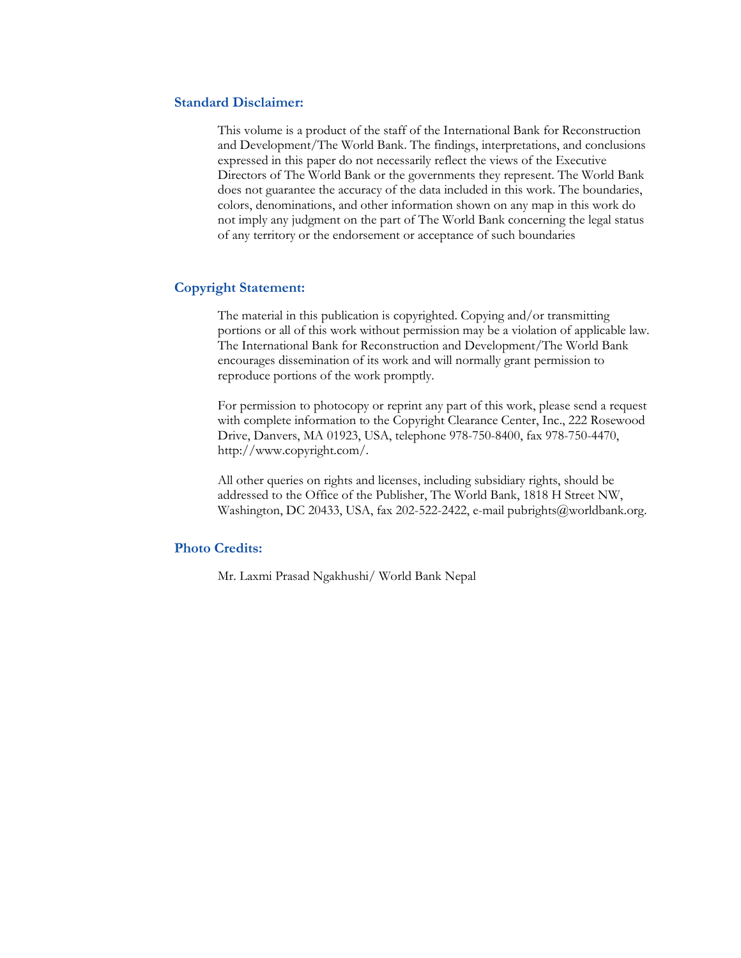#### **Standard Disclaimer:**

This volume is a product of the staff of the International Bank for Reconstruction and Development/The World Bank. The findings, interpretations, and conclusions expressed in this paper do not necessarily reflect the views of the Executive Directors of The World Bank or the governments they represent. The World Bank does not guarantee the accuracy of the data included in this work. The boundaries, colors, denominations, and other information shown on any map in this work do not imply any judgment on the part of The World Bank concerning the legal status of any territory or the endorsement or acceptance of such boundaries

#### **Copyright Statement:**

The material in this publication is copyrighted. Copying and/or transmitting portions or all of this work without permission may be a violation of applicable law. The International Bank for Reconstruction and Development/The World Bank encourages dissemination of its work and will normally grant permission to reproduce portions of the work promptly.

For permission to photocopy or reprint any part of this work, please send a request with complete information to the Copyright Clearance Center, Inc., 222 Rosewood Drive, Danvers, MA 01923, USA, telephone 978-750-8400, fax 978-750-4470, http://www.copyright.com/.

All other queries on rights and licenses, including subsidiary rights, should be addressed to the Office of the Publisher, The World Bank, 1818 H Street NW, Washington, DC 20433, USA, fax 202-522-2422, e-mail pubrights@worldbank.org.

#### **Photo Credits:**

Mr. Laxmi Prasad Ngakhushi/ World Bank Nepal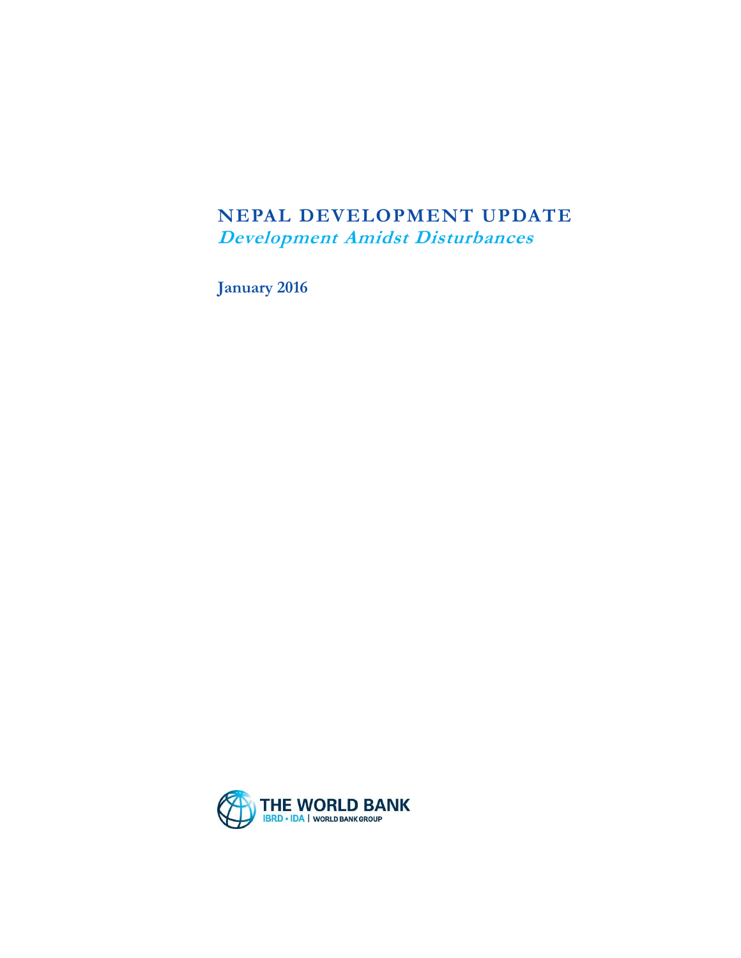### **NEPAL DEVELOPMENT UPDATE Development Amidst Disturbances**

**January 2016**

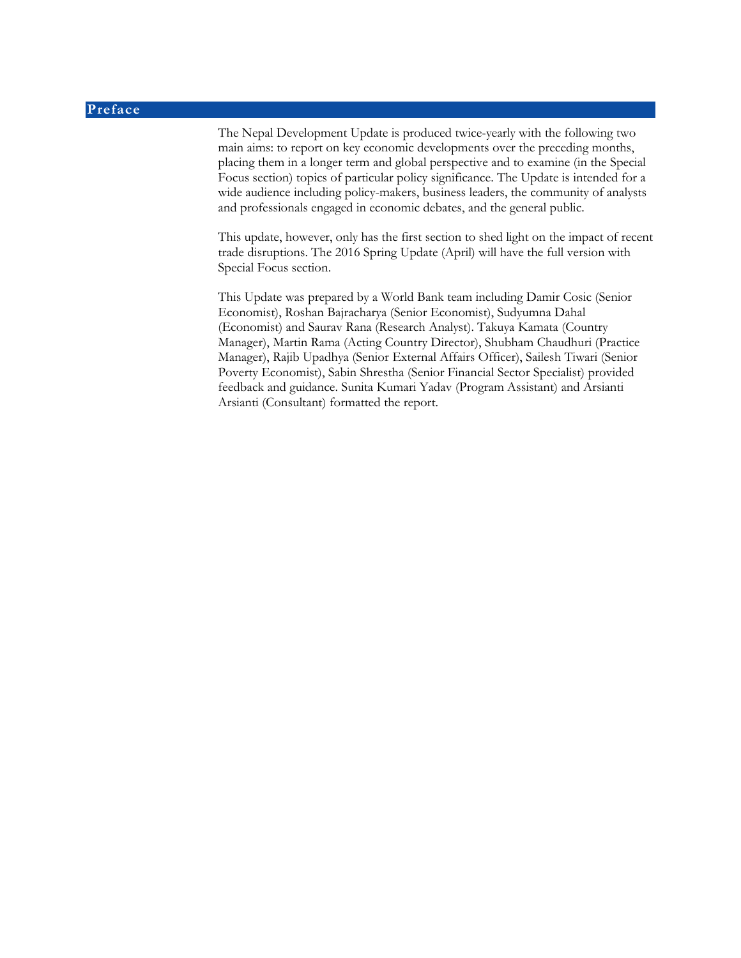#### **Preface**

The Nepal Development Update is produced twice-yearly with the following two main aims: to report on key economic developments over the preceding months, placing them in a longer term and global perspective and to examine (in the Special Focus section) topics of particular policy significance. The Update is intended for a wide audience including policy-makers, business leaders, the community of analysts and professionals engaged in economic debates, and the general public.

This update, however, only has the first section to shed light on the impact of recent trade disruptions. The 2016 Spring Update (April) will have the full version with Special Focus section.

This Update was prepared by a World Bank team including Damir Cosic (Senior Economist), Roshan Bajracharya (Senior Economist), Sudyumna Dahal (Economist) and Saurav Rana (Research Analyst). Takuya Kamata (Country Manager), Martin Rama (Acting Country Director), Shubham Chaudhuri (Practice Manager), Rajib Upadhya (Senior External Affairs Officer), Sailesh Tiwari (Senior Poverty Economist), Sabin Shrestha (Senior Financial Sector Specialist) provided feedback and guidance. Sunita Kumari Yadav (Program Assistant) and Arsianti Arsianti (Consultant) formatted the report.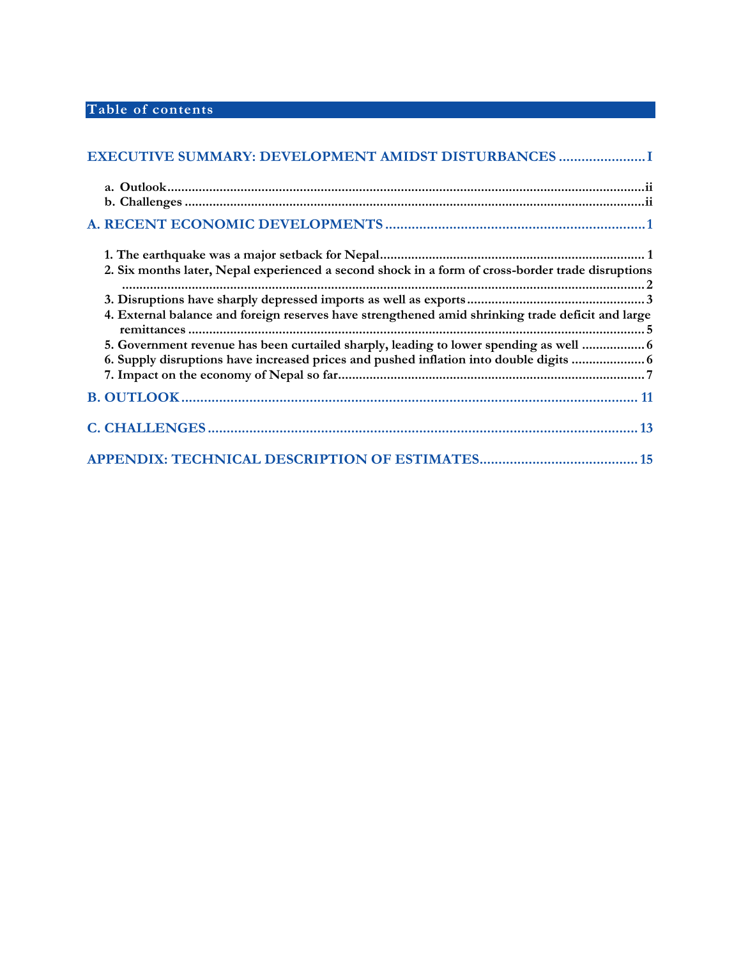### **Table of contents**

| EXECUTIVE SUMMARY: DEVELOPMENT AMIDST DISTURBANCES                                                |  |
|---------------------------------------------------------------------------------------------------|--|
|                                                                                                   |  |
|                                                                                                   |  |
|                                                                                                   |  |
|                                                                                                   |  |
| 2. Six months later, Nepal experienced a second shock in a form of cross-border trade disruptions |  |
|                                                                                                   |  |
| 4. External balance and foreign reserves have strengthened amid shrinking trade deficit and large |  |
| 5. Government revenue has been curtailed sharply, leading to lower spending as well  6            |  |
| 6. Supply disruptions have increased prices and pushed inflation into double digits  6            |  |
|                                                                                                   |  |
|                                                                                                   |  |
|                                                                                                   |  |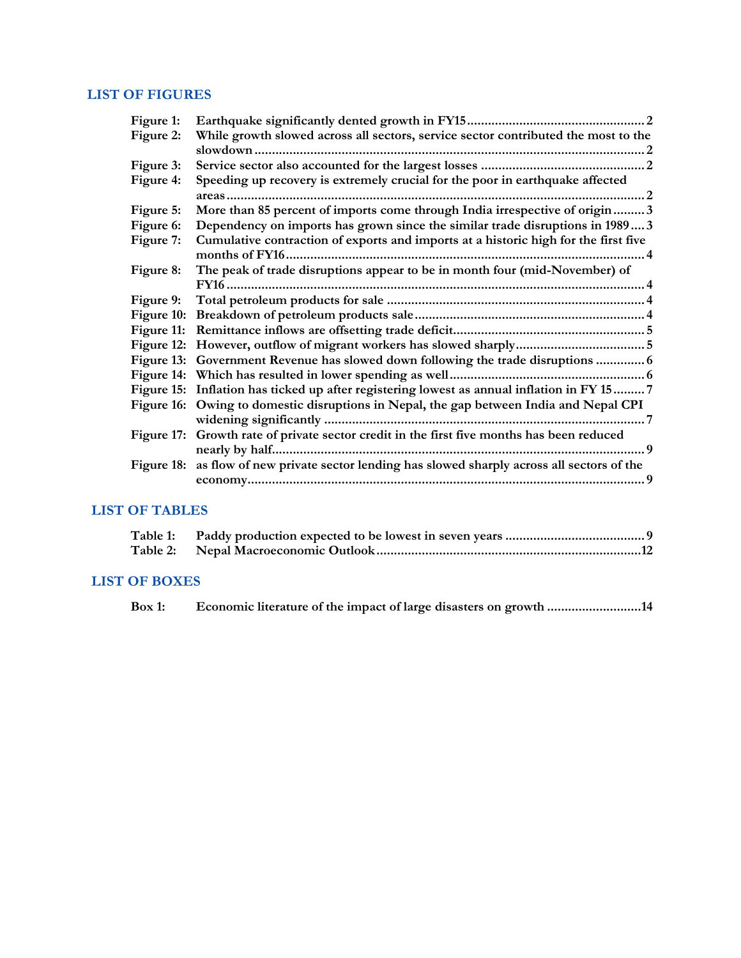#### **LIST OF FIGURES**

| Figure 1:             |                                                                                               |  |
|-----------------------|-----------------------------------------------------------------------------------------------|--|
| Figure 2:             | While growth slowed across all sectors, service sector contributed the most to the            |  |
|                       |                                                                                               |  |
| Figure 3:             |                                                                                               |  |
| Figure 4:             | Speeding up recovery is extremely crucial for the poor in earthquake affected                 |  |
|                       |                                                                                               |  |
| Figure 5:             | More than 85 percent of imports come through India irrespective of origin 3                   |  |
| Figure 6:             | Dependency on imports has grown since the similar trade disruptions in 19893                  |  |
| Figure 7:             | Cumulative contraction of exports and imports at a historic high for the first five           |  |
| Figure 8:             | The peak of trade disruptions appear to be in month four (mid-November) of                    |  |
|                       |                                                                                               |  |
| Figure 9:             |                                                                                               |  |
|                       |                                                                                               |  |
|                       |                                                                                               |  |
|                       |                                                                                               |  |
|                       | Figure 13: Government Revenue has slowed down following the trade disruptions  6              |  |
|                       |                                                                                               |  |
|                       | Figure 15: Inflation has ticked up after registering lowest as annual inflation in FY 15 7    |  |
|                       | Figure 16: Owing to domestic disruptions in Nepal, the gap between India and Nepal CPI        |  |
|                       |                                                                                               |  |
|                       | Figure 17: Growth rate of private sector credit in the first five months has been reduced     |  |
|                       |                                                                                               |  |
|                       | Figure 18: as flow of new private sector lending has slowed sharply across all sectors of the |  |
|                       |                                                                                               |  |
|                       |                                                                                               |  |
| <b>LIST OF TABLES</b> |                                                                                               |  |

| $\Omega$ P D $\Omega$ |  |
|-----------------------|--|

### **LIST OF BOXES**

| Box 1:<br>Economic literature of the impact of large disasters on growth 14 |  |  |  |  |
|-----------------------------------------------------------------------------|--|--|--|--|
|-----------------------------------------------------------------------------|--|--|--|--|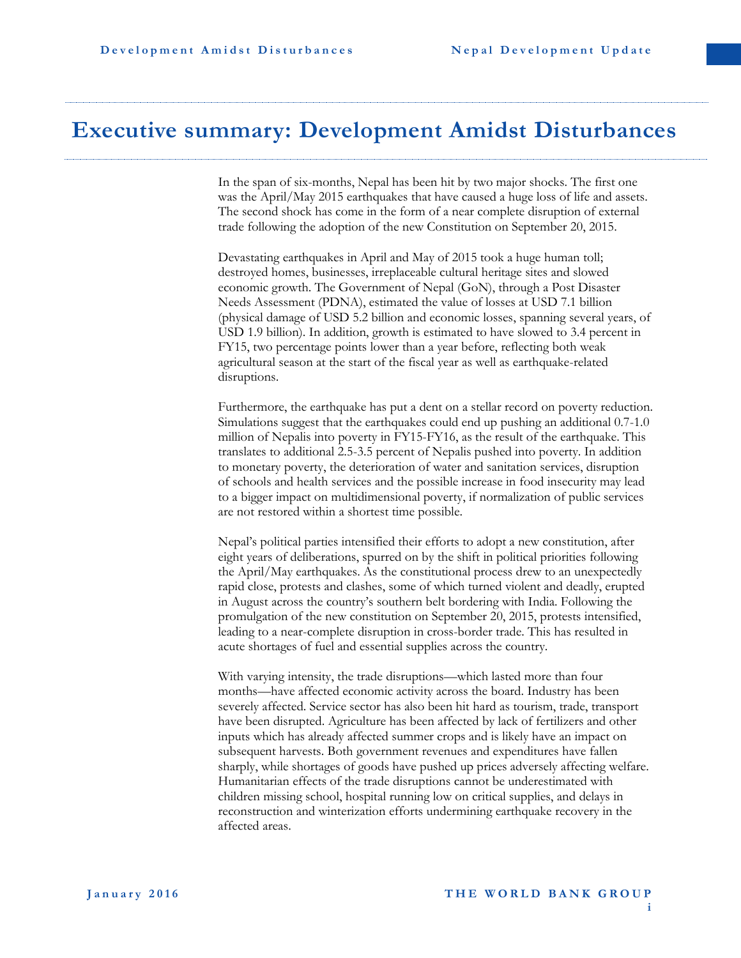### <span id="page-7-0"></span>**Executive summary: Development Amidst Disturbances**

In the span of six-months, Nepal has been hit by two major shocks. The first one was the April/May 2015 earthquakes that have caused a huge loss of life and assets. The second shock has come in the form of a near complete disruption of external trade following the adoption of the new Constitution on September 20, 2015.

Devastating earthquakes in April and May of 2015 took a huge human toll; destroyed homes, businesses, irreplaceable cultural heritage sites and slowed economic growth. The Government of Nepal (GoN), through a Post Disaster Needs Assessment (PDNA), estimated the value of losses at USD 7.1 billion (physical damage of USD 5.2 billion and economic losses, spanning several years, of USD 1.9 billion). In addition, growth is estimated to have slowed to 3.4 percent in FY15, two percentage points lower than a year before, reflecting both weak agricultural season at the start of the fiscal year as well as earthquake-related disruptions.

Furthermore, the earthquake has put a dent on a stellar record on poverty reduction. Simulations suggest that the earthquakes could end up pushing an additional 0.7-1.0 million of Nepalis into poverty in FY15-FY16, as the result of the earthquake. This translates to additional 2.5-3.5 percent of Nepalis pushed into poverty. In addition to monetary poverty, the deterioration of water and sanitation services, disruption of schools and health services and the possible increase in food insecurity may lead to a bigger impact on multidimensional poverty, if normalization of public services are not restored within a shortest time possible.

Nepal's political parties intensified their efforts to adopt a new constitution, after eight years of deliberations, spurred on by the shift in political priorities following the April/May earthquakes. As the constitutional process drew to an unexpectedly rapid close, protests and clashes, some of which turned violent and deadly, erupted in August across the country's southern belt bordering with India. Following the promulgation of the new constitution on September 20, 2015, protests intensified, leading to a near-complete disruption in cross-border trade. This has resulted in acute shortages of fuel and essential supplies across the country.

With varying intensity, the trade disruptions—which lasted more than four months—have affected economic activity across the board. Industry has been severely affected. Service sector has also been hit hard as tourism, trade, transport have been disrupted. Agriculture has been affected by lack of fertilizers and other inputs which has already affected summer crops and is likely have an impact on subsequent harvests. Both government revenues and expenditures have fallen sharply, while shortages of goods have pushed up prices adversely affecting welfare. Humanitarian effects of the trade disruptions cannot be underestimated with children missing school, hospital running low on critical supplies, and delays in reconstruction and winterization efforts undermining earthquake recovery in the affected areas.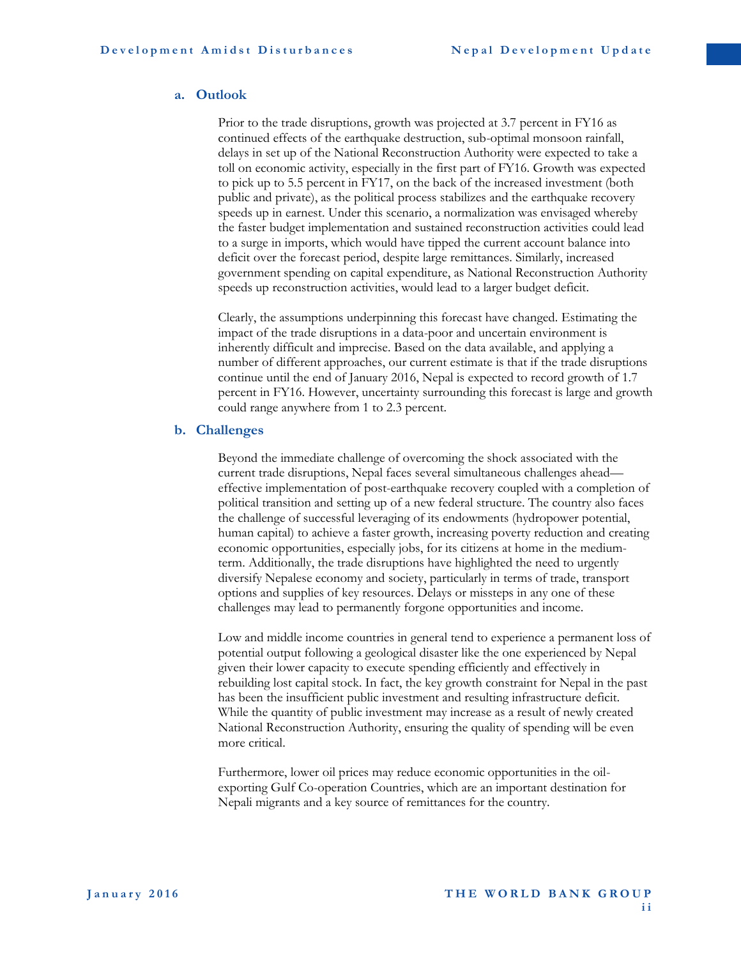#### <span id="page-8-0"></span>**a. Outlook**

Prior to the trade disruptions, growth was projected at 3.7 percent in FY16 as continued effects of the earthquake destruction, sub-optimal monsoon rainfall, delays in set up of the National Reconstruction Authority were expected to take a toll on economic activity, especially in the first part of FY16. Growth was expected to pick up to 5.5 percent in FY17, on the back of the increased investment (both public and private), as the political process stabilizes and the earthquake recovery speeds up in earnest. Under this scenario, a normalization was envisaged whereby the faster budget implementation and sustained reconstruction activities could lead to a surge in imports, which would have tipped the current account balance into deficit over the forecast period, despite large remittances. Similarly, increased government spending on capital expenditure, as National Reconstruction Authority speeds up reconstruction activities, would lead to a larger budget deficit.

Clearly, the assumptions underpinning this forecast have changed. Estimating the impact of the trade disruptions in a data-poor and uncertain environment is inherently difficult and imprecise. Based on the data available, and applying a number of different approaches, our current estimate is that if the trade disruptions continue until the end of January 2016, Nepal is expected to record growth of 1.7 percent in FY16. However, uncertainty surrounding this forecast is large and growth could range anywhere from 1 to 2.3 percent.

#### <span id="page-8-1"></span>**b. Challenges**

Beyond the immediate challenge of overcoming the shock associated with the current trade disruptions, Nepal faces several simultaneous challenges ahead effective implementation of post-earthquake recovery coupled with a completion of political transition and setting up of a new federal structure. The country also faces the challenge of successful leveraging of its endowments (hydropower potential, human capital) to achieve a faster growth, increasing poverty reduction and creating economic opportunities, especially jobs, for its citizens at home in the mediumterm. Additionally, the trade disruptions have highlighted the need to urgently diversify Nepalese economy and society, particularly in terms of trade, transport options and supplies of key resources. Delays or missteps in any one of these challenges may lead to permanently forgone opportunities and income.

Low and middle income countries in general tend to experience a permanent loss of potential output following a geological disaster like the one experienced by Nepal given their lower capacity to execute spending efficiently and effectively in rebuilding lost capital stock. In fact, the key growth constraint for Nepal in the past has been the insufficient public investment and resulting infrastructure deficit. While the quantity of public investment may increase as a result of newly created National Reconstruction Authority, ensuring the quality of spending will be even more critical.

Furthermore, lower oil prices may reduce economic opportunities in the oilexporting Gulf Co-operation Countries, which are an important destination for Nepali migrants and a key source of remittances for the country.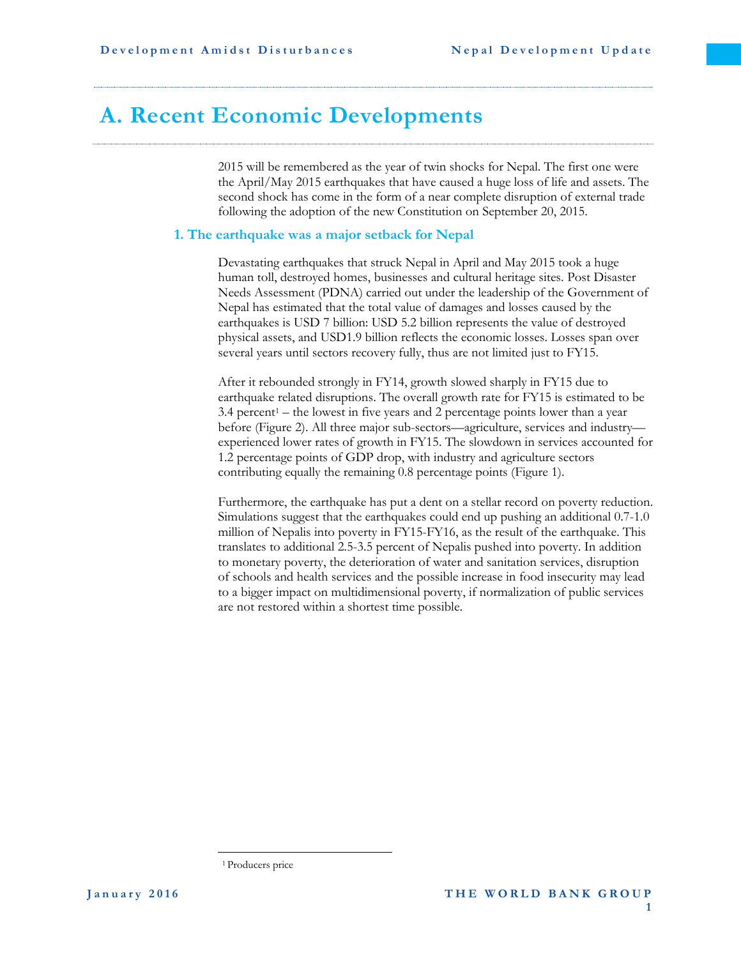### <span id="page-9-0"></span>**A. Recent Economic Developments**

2015 will be remembered as the year of twin shocks for Nepal. The first one were the April/May 2015 earthquakes that have caused a huge loss of life and assets. The second shock has come in the form of a near complete disruption of external trade following the adoption of the new Constitution on September 20, 2015.

#### <span id="page-9-1"></span>**1. The earthquake was a major setback for Nepal**

Devastating earthquakes that struck Nepal in April and May 2015 took a huge human toll, destroyed homes, businesses and cultural heritage sites. Post Disaster Needs Assessment (PDNA) carried out under the leadership of the Government of Nepal has estimated that the total value of damages and losses caused by the earthquakes is USD 7 billion: USD 5.2 billion represents the value of destroyed physical assets, and USD1.9 billion reflects the economic losses. Losses span over several years until sectors recovery fully, thus are not limited just to FY15.

After it rebounded strongly in FY14, growth slowed sharply in FY15 due to earthquake related disruptions. The overall growth rate for FY15 is estimated to be  $3.4$  percent<sup>1</sup> – the lowest in five years and 2 percentage points lower than a year before (Figure 2). All three major sub-sectors—agriculture, services and industry experienced lower rates of growth in FY15. The slowdown in services accounted for 1.2 percentage points of GDP drop, with industry and agriculture sectors contributing equally the remaining 0.8 percentage points (Figure 1).

Furthermore, the earthquake has put a dent on a stellar record on poverty reduction. Simulations suggest that the earthquakes could end up pushing an additional 0.7-1.0 million of Nepalis into poverty in FY15-FY16, as the result of the earthquake. This translates to additional 2.5-3.5 percent of Nepalis pushed into poverty. In addition to monetary poverty, the deterioration of water and sanitation services, disruption of schools and health services and the possible increase in food insecurity may lead to a bigger impact on multidimensional poverty, if normalization of public services are not restored within a shortest time possible.

 $\overline{a}$ 

<sup>&</sup>lt;sup>1</sup> Producers price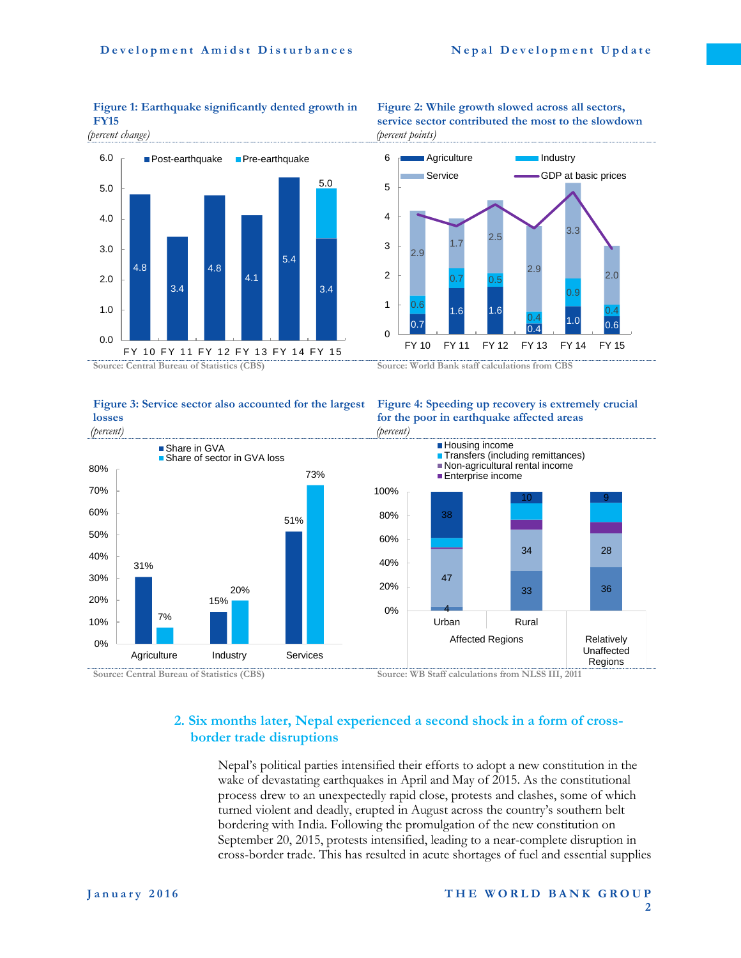#### **Figure 1: Earthquake significantly dented growth in FY15**

*(percent change)*



#### **Figure 3: Service sector also accounted for the largest losses**

#### **Figure 2: While growth slowed across all sectors, service sector contributed the most to the slowdown** *(percent points)*



#### **Figure 4: Speeding up recovery is extremely crucial for the poor in earthquake affected areas** *(percent)*



### <span id="page-10-0"></span>**2. Six months later, Nepal experienced a second shock in a form of crossborder trade disruptions**

Nepal's political parties intensified their efforts to adopt a new constitution in the wake of devastating earthquakes in April and May of 2015. As the constitutional process drew to an unexpectedly rapid close, protests and clashes, some of which turned violent and deadly, erupted in August across the country's southern belt bordering with India. Following the promulgation of the new constitution on September 20, 2015, protests intensified, leading to a near-complete disruption in cross-border trade. This has resulted in acute shortages of fuel and essential supplies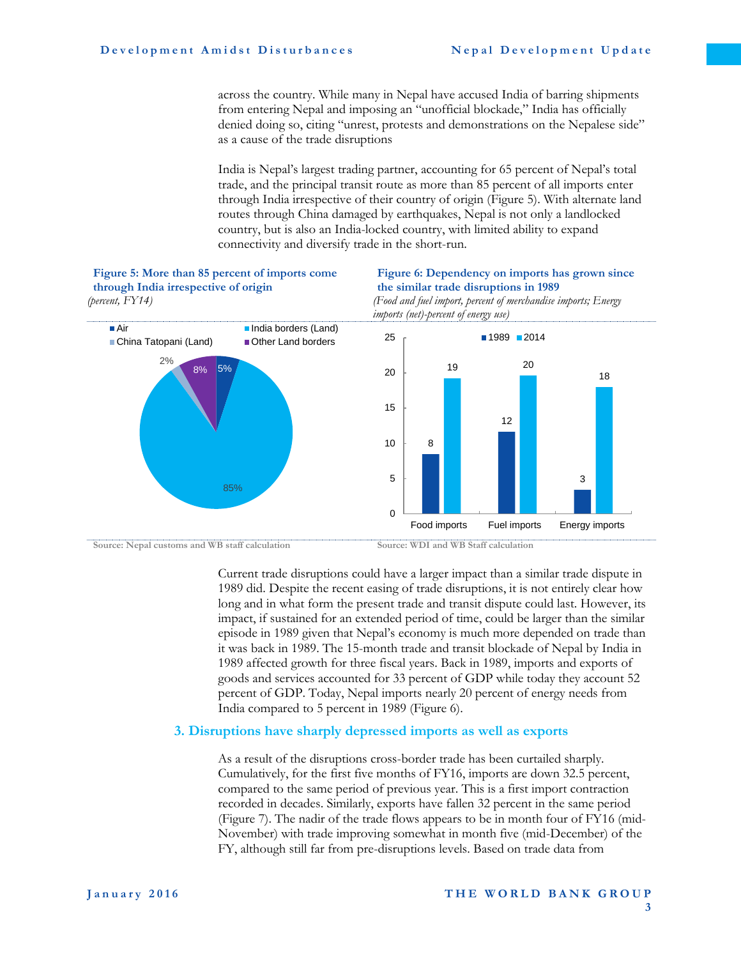**Figure 5: More than 85 percent of imports come** 

across the country. While many in Nepal have accused India of barring shipments from entering Nepal and imposing an "unofficial blockade," India has officially denied doing so, citing "unrest, protests and demonstrations on the Nepalese side" as a cause of the trade disruptions

India is Nepal's largest trading partner, accounting for 65 percent of Nepal's total trade, and the principal transit route as more than 85 percent of all imports enter through India irrespective of their country of origin (Figure 5). With alternate land routes through China damaged by earthquakes, Nepal is not only a landlocked country, but is also an India-locked country, with limited ability to expand connectivity and diversify trade in the short-run.

**Figure 6: Dependency on imports has grown since** 



Current trade disruptions could have a larger impact than a similar trade dispute in 1989 did. Despite the recent easing of trade disruptions, it is not entirely clear how long and in what form the present trade and transit dispute could last. However, its impact, if sustained for an extended period of time, could be larger than the similar episode in 1989 given that Nepal's economy is much more depended on trade than it was back in 1989. The 15-month trade and transit blockade of Nepal by India in 1989 affected growth for three fiscal years. Back in 1989, imports and exports of goods and services accounted for 33 percent of GDP while today they account 52 percent of GDP. Today, Nepal imports nearly 20 percent of energy needs from India compared to 5 percent in 1989 (Figure 6).

#### <span id="page-11-0"></span>**3. Disruptions have sharply depressed imports as well as exports**

As a result of the disruptions cross-border trade has been curtailed sharply. Cumulatively, for the first five months of FY16, imports are down 32.5 percent, compared to the same period of previous year. This is a first import contraction recorded in decades. Similarly, exports have fallen 32 percent in the same period [\(Figure 7\)](#page-12-0). The nadir of the trade flows appears to be in month four of FY16 (mid-November) with trade improving somewhat in month five (mid-December) of the FY, although still far from pre-disruptions levels. Based on trade data from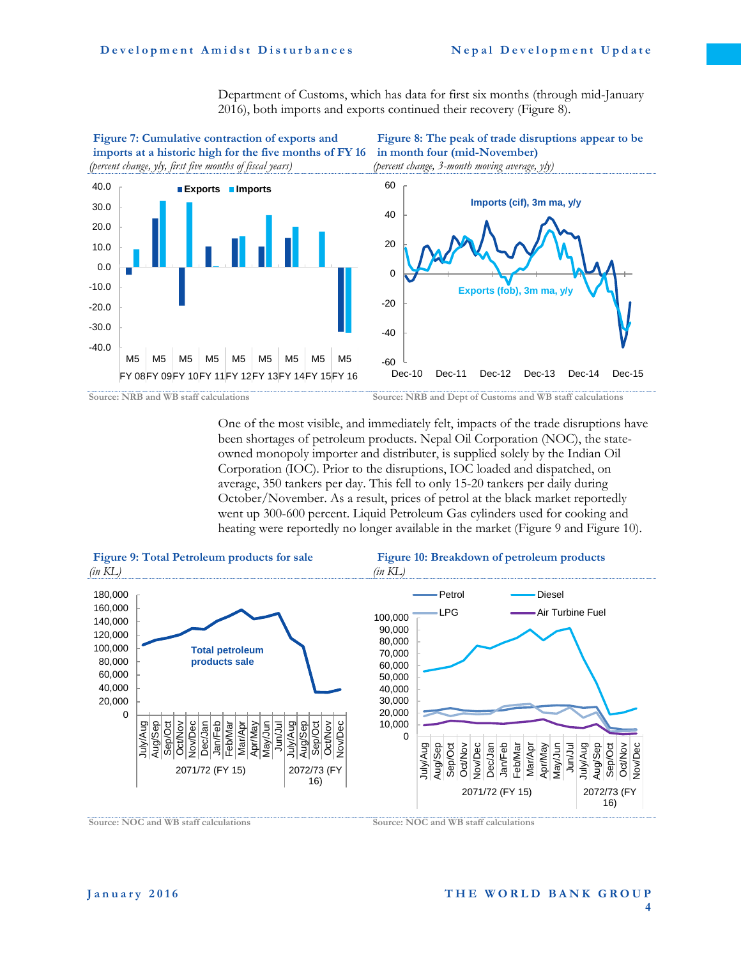<span id="page-12-1"></span>Department of Customs, which has data for first six months (through mid-January 2016), both imports and exports continued their recovery [\(Figure 8](#page-12-1)).

<span id="page-12-0"></span>

<span id="page-12-2"></span>

One of the most visible, and immediately felt, impacts of the trade disruptions have been shortages of petroleum products. Nepal Oil Corporation (NOC), the stateowned monopoly importer and distributer, is supplied solely by the Indian Oil Corporation (IOC). Prior to the disruptions, IOC loaded and dispatched, on average, 350 tankers per day. This fell to only 15-20 tankers per daily during October/November. As a result, prices of petrol at the black market reportedly went up 300-600 percent. Liquid Petroleum Gas cylinders used for cooking and heating were reportedly no longer available in the market (Figure 9 an[d Figure 1](#page-12-2)0).



**Source: NOC and WB staff calculations Source: NOC and WB staff calculations**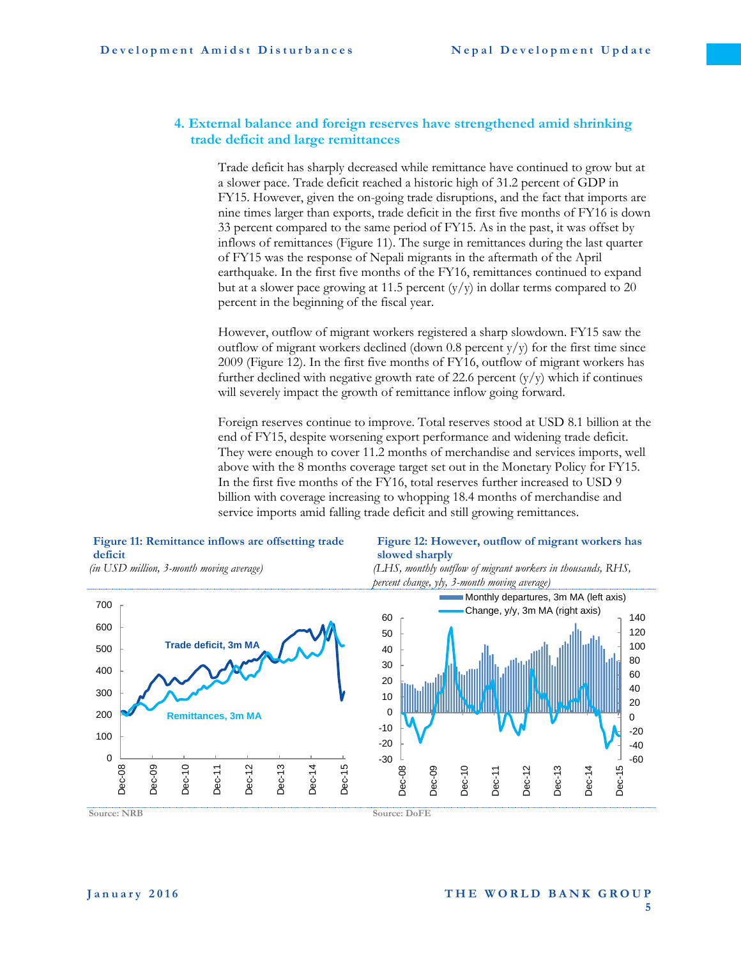#### <span id="page-13-0"></span>**4. External balance and foreign reserves have strengthened amid shrinking trade deficit and large remittances**

Trade deficit has sharply decreased while remittance have continued to grow but at a slower pace. Trade deficit reached a historic high of 31.2 percent of GDP in FY15. However, given the on-going trade disruptions, and the fact that imports are nine times larger than exports, trade deficit in the first five months of FY16 is down 33 percent compared to the same period of FY15. As in the past, it was offset by inflows of remittances [\(Figure 1](#page-13-1)1). The surge in remittances during the last quarter of FY15 was the response of Nepali migrants in the aftermath of the April earthquake. In the first five months of the FY16, remittances continued to expand but at a slower pace growing at 11.5 percent  $(y/y)$  in dollar terms compared to 20 percent in the beginning of the fiscal year.

However, outflow of migrant workers registered a sharp slowdown. FY15 saw the outflow of migrant workers declined (down  $0.8$  percent y/y) for the first time since 2009 [\(Figure 1](#page-13-2)2). In the first five months of FY16, outflow of migrant workers has further declined with negative growth rate of 22.6 percent  $(y/y)$  which if continues will severely impact the growth of remittance inflow going forward.

Foreign reserves continue to improve. Total reserves stood at USD 8.1 billion at the end of FY15, despite worsening export performance and widening trade deficit. They were enough to cover 11.2 months of merchandise and services imports, well above with the 8 months coverage target set out in the Monetary Policy for FY15. In the first five months of the FY16, total reserves further increased to USD 9 billion with coverage increasing to whopping 18.4 months of merchandise and service imports amid falling trade deficit and still growing remittances.



#### <span id="page-13-1"></span>**Figure 11: Remittance inflows are offsetting trade deficit**

#### <span id="page-13-2"></span>**Figure 12: However, outflow of migrant workers has slowed sharply**



**Source: NRB Source: DoFE**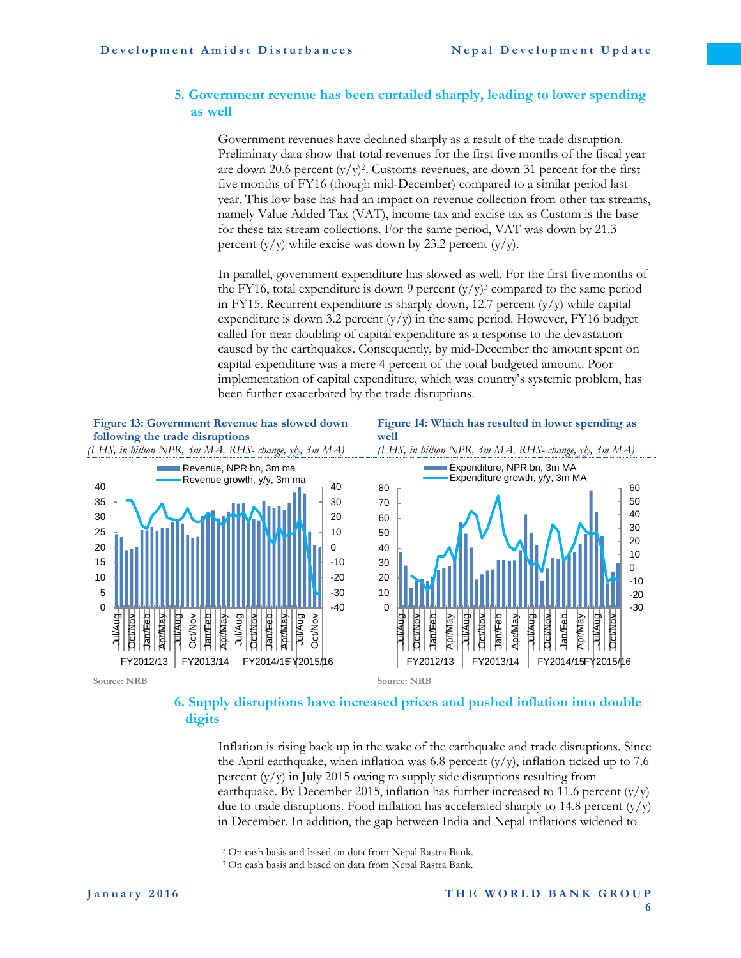#### <span id="page-14-0"></span>**5. Government revenue has been curtailed sharply, leading to lower spending as well**

Government revenues have declined sharply as a result of the trade disruption. Preliminary data show that total revenues for the first five months of the fiscal year are down 20.6 percent  $(y/y)^2$ . Customs revenues, are down 31 percent for the first five months of FY16 (though mid-December) compared to a similar period last year. This low base has had an impact on revenue collection from other tax streams, namely Value Added Tax (VAT), income tax and excise tax as Custom is the base for these tax stream collections. For the same period, VAT was down by 21.3 percent  $(y/y)$  while excise was down by 23.2 percent  $(y/y)$ .

In parallel, government expenditure has slowed as well. For the first five months of the FY16, total expenditure is down 9 percent  $(y/y)^3$  compared to the same period in FY15. Recurrent expenditure is sharply down, 12.7 percent  $(y/y)$  while capital expenditure is down 3.2 percent  $(y/y)$  in the same period. However, FY16 budget called for near doubling of capital expenditure as a response to the devastation caused by the earthquakes. Consequently, by mid-December the amount spent on capital expenditure was a mere 4 percent of the total budgeted amount. Poor implementation of capital expenditure, which was country's systemic problem, has been further exacerbated by the trade disruptions.



#### <span id="page-14-1"></span>**6. Supply disruptions have increased prices and pushed inflation into double digits**

Inflation is rising back up in the wake of the earthquake and trade disruptions. Since the April earthquake, when inflation was 6.8 percent  $(y/y)$ , inflation ticked up to 7.6 percent  $(y/y)$  in July 2015 owing to supply side disruptions resulting from earthquake. By December 2015, inflation has further increased to 11.6 percent  $(y/y)$ due to trade disruptions. Food inflation has accelerated sharply to 14.8 percent  $(y/y)$ in December. In addition, the gap between India and Nepal inflations widened to

 $\overline{a}$ 

<sup>2</sup> On cash basis and based on data from Nepal Rastra Bank.

<sup>3</sup> On cash basis and based on data from Nepal Rastra Bank.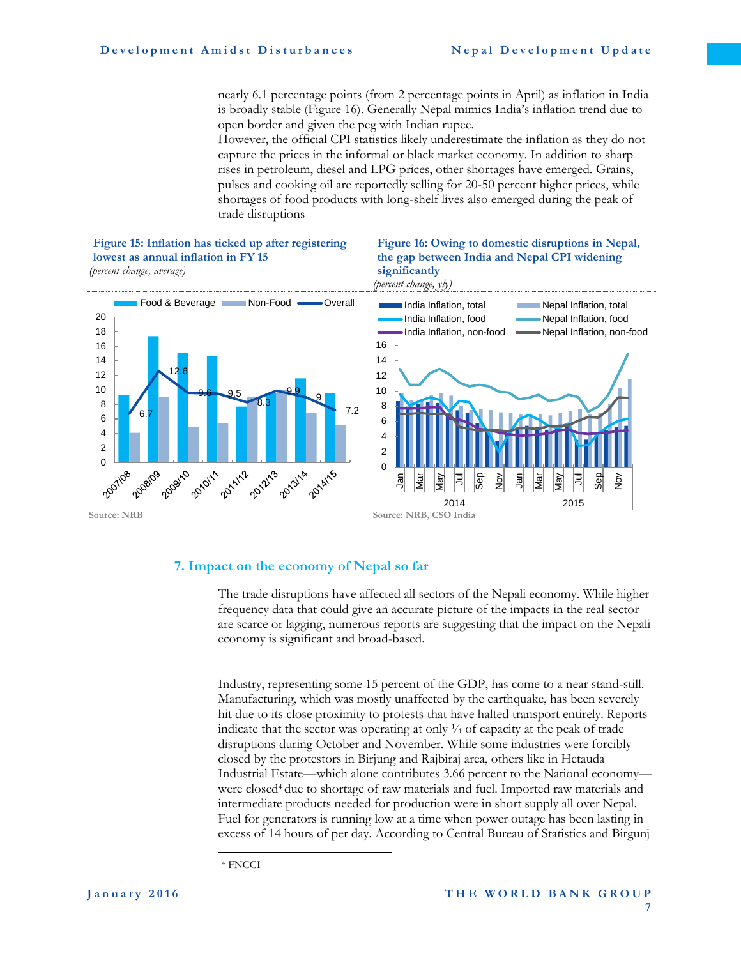nearly 6.1 percentage points (from 2 percentage points in April) as inflation in India is broadly stable [\(Figure 1](#page-15-1)6). Generally Nepal mimics India's inflation trend due to open border and given the peg with Indian rupee.

However, the official CPI statistics likely underestimate the inflation as they do not capture the prices in the informal or black market economy. In addition to sharp rises in petroleum, diesel and LPG prices, other shortages have emerged. Grains, pulses and cooking oil are reportedly selling for 20-50 percent higher prices, while shortages of food products with long-shelf lives also emerged during the peak of trade disruptions

#### <span id="page-15-1"></span>**Figure 15: Inflation has ticked up after registering lowest as annual inflation in FY 15** *(percent change, average)*





#### <span id="page-15-0"></span>**7. Impact on the economy of Nepal so far**

The trade disruptions have affected all sectors of the Nepali economy. While higher frequency data that could give an accurate picture of the impacts in the real sector are scarce or lagging, numerous reports are suggesting that the impact on the Nepali economy is significant and broad-based.

Industry, representing some 15 percent of the GDP, has come to a near stand-still. Manufacturing, which was mostly unaffected by the earthquake, has been severely hit due to its close proximity to protests that have halted transport entirely. Reports indicate that the sector was operating at only  $\frac{1}{4}$  of capacity at the peak of trade disruptions during October and November. While some industries were forcibly closed by the protestors in Birjung and Rajbiraj area, others like in Hetauda Industrial Estate—which alone contributes 3.66 percent to the National economy were closed<sup>4</sup> due to shortage of raw materials and fuel. Imported raw materials and intermediate products needed for production were in short supply all over Nepal. Fuel for generators is running low at a time when power outage has been lasting in excess of 14 hours of per day. According to Central Bureau of Statistics and Birgunj

 $\overline{a}$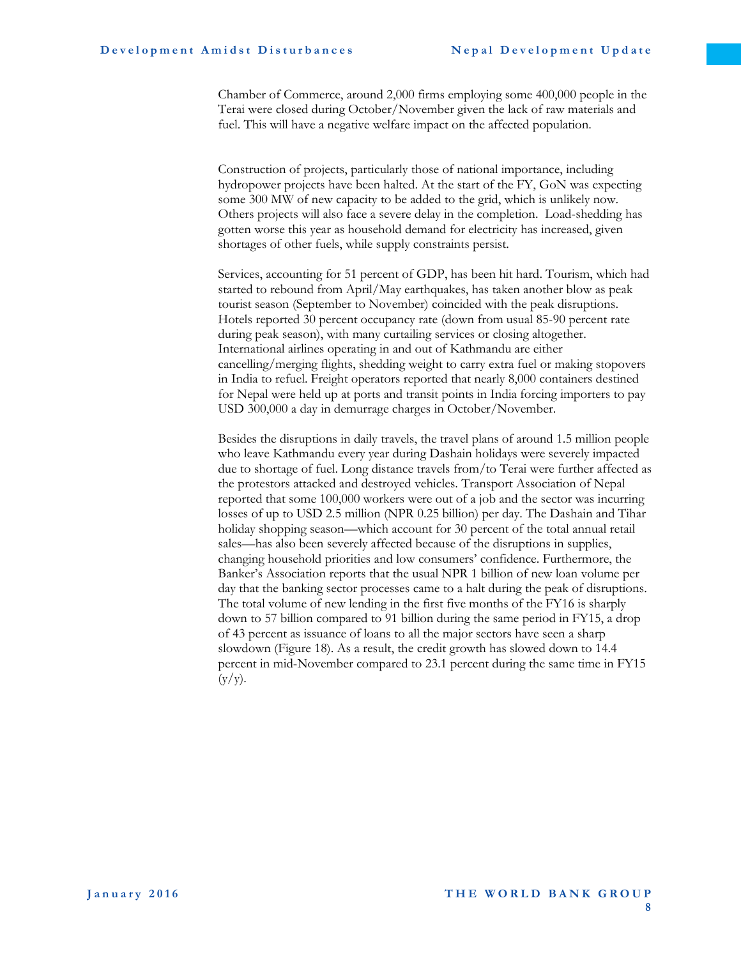Chamber of Commerce, around 2,000 firms employing some 400,000 people in the Terai were closed during October/November given the lack of raw materials and fuel. This will have a negative welfare impact on the affected population.

Construction of projects, particularly those of national importance, including hydropower projects have been halted. At the start of the FY, GoN was expecting some 300 MW of new capacity to be added to the grid, which is unlikely now. Others projects will also face a severe delay in the completion. Load-shedding has gotten worse this year as household demand for electricity has increased, given shortages of other fuels, while supply constraints persist.

Services, accounting for 51 percent of GDP, has been hit hard. Tourism, which had started to rebound from April/May earthquakes, has taken another blow as peak tourist season (September to November) coincided with the peak disruptions. Hotels reported 30 percent occupancy rate (down from usual 85-90 percent rate during peak season), with many curtailing services or closing altogether. International airlines operating in and out of Kathmandu are either cancelling/merging flights, shedding weight to carry extra fuel or making stopovers in India to refuel. Freight operators reported that nearly 8,000 containers destined for Nepal were held up at ports and transit points in India forcing importers to pay USD 300,000 a day in demurrage charges in October/November.

<span id="page-16-0"></span>Besides the disruptions in daily travels, the travel plans of around 1.5 million people who leave Kathmandu every year during Dashain holidays were severely impacted due to shortage of fuel. Long distance travels from/to Terai were further affected as the protestors attacked and destroyed vehicles. Transport Association of Nepal reported that some 100,000 workers were out of a job and the sector was incurring losses of up to USD 2.5 million (NPR 0.25 billion) per day. The Dashain and Tihar holiday shopping season—which account for 30 percent of the total annual retail sales—has also been severely affected because of the disruptions in supplies, changing household priorities and low consumers' confidence. Furthermore, the Banker's Association reports that the usual NPR 1 billion of new loan volume per day that the banking sector processes came to a halt during the peak of disruptions. The total volume of new lending in the first five months of the FY16 is sharply down to 57 billion compared to 91 billion during the same period in FY15, a drop of 43 percent as issuance of loans to all the major sectors have seen a sharp slowdown (Figure 18). As a result, the credit growth has slowed down to 14.4 percent in mid-November compared to 23.1 percent during the same time in FY15  $(y/y)$ .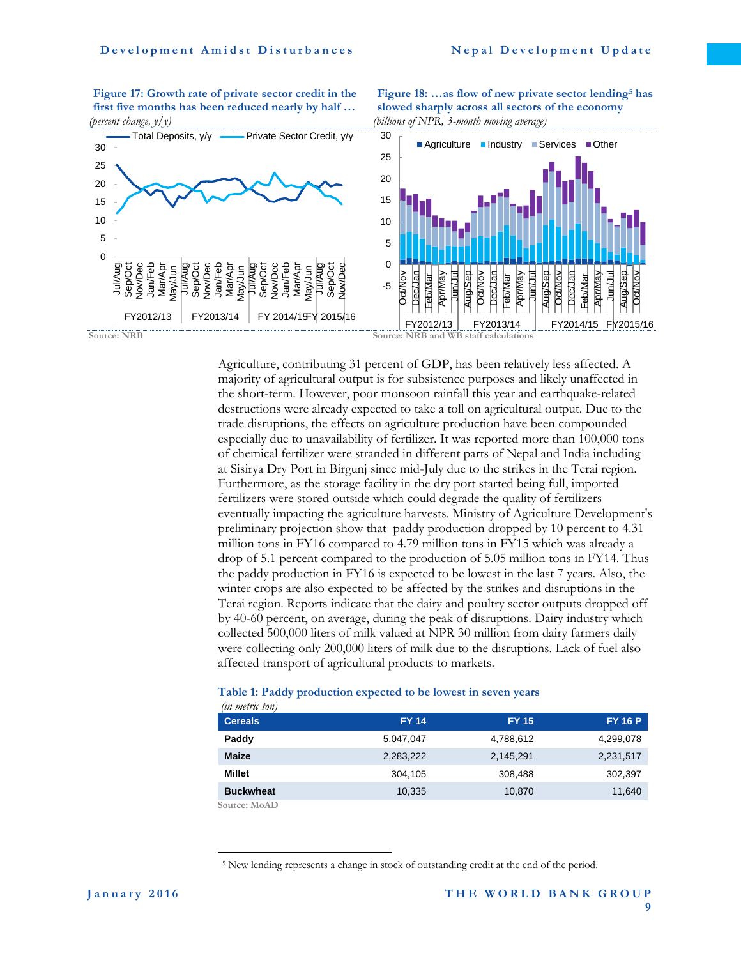**Figure 17: Growth rate of private sector credit in the first five months has been reduced nearly by half …** *(percent change, y/y)*

**Figure 18: …as flow of new private sector lending<sup>5</sup> has slowed sharply across all sectors of the economy** *(billions of NPR, 3-month moving average)*



Agriculture, contributing 31 percent of GDP, has been relatively less affected. A majority of agricultural output is for subsistence purposes and likely unaffected in the short-term. However, poor monsoon rainfall this year and earthquake-related destructions were already expected to take a toll on agricultural output. Due to the trade disruptions, the effects on agriculture production have been compounded especially due to unavailability of fertilizer. It was reported more than 100,000 tons of chemical fertilizer were stranded in different parts of Nepal and India including at Sisirya Dry Port in Birgunj since mid-July due to the strikes in the Terai region. Furthermore, as the storage facility in the dry port started being full, imported fertilizers were stored outside which could degrade the quality of fertilizers eventually impacting the agriculture harvests. Ministry of Agriculture Development's preliminary projection show that paddy production dropped by 10 percent to 4.31 million tons in FY16 compared to 4.79 million tons in FY15 which was already a drop of 5.1 percent compared to the production of 5.05 million tons in FY14. Thus the paddy production in FY16 is expected to be lowest in the last 7 years. Also, the winter crops are also expected to be affected by the strikes and disruptions in the Terai region. Reports indicate that the dairy and poultry sector outputs dropped off by 40-60 percent, on average, during the peak of disruptions. Dairy industry which collected 500,000 liters of milk valued at NPR 30 million from dairy farmers daily were collecting only 200,000 liters of milk due to the disruptions. Lack of fuel also affected transport of agricultural products to markets.

#### **Table 1: Paddy production expected to be lowest in seven years**

*(in metric ton)*

 $\overline{a}$ 

| un meiru ion)    |              |              |                |
|------------------|--------------|--------------|----------------|
| <b>Cereals</b>   | <b>FY 14</b> | <b>FY 15</b> | <b>FY 16 P</b> |
| Paddy            | 5,047,047    | 4,788,612    | 4,299,078      |
| <b>Maize</b>     | 2,283,222    | 2,145,291    | 2,231,517      |
| Millet           | 304.105      | 308,488      | 302,397        |
| <b>Buckwheat</b> | 10,335       | 10,870       | 11,640         |
| Source: MoAD     |              |              |                |

<sup>5</sup> New lending represents a change in stock of outstanding credit at the end of the period.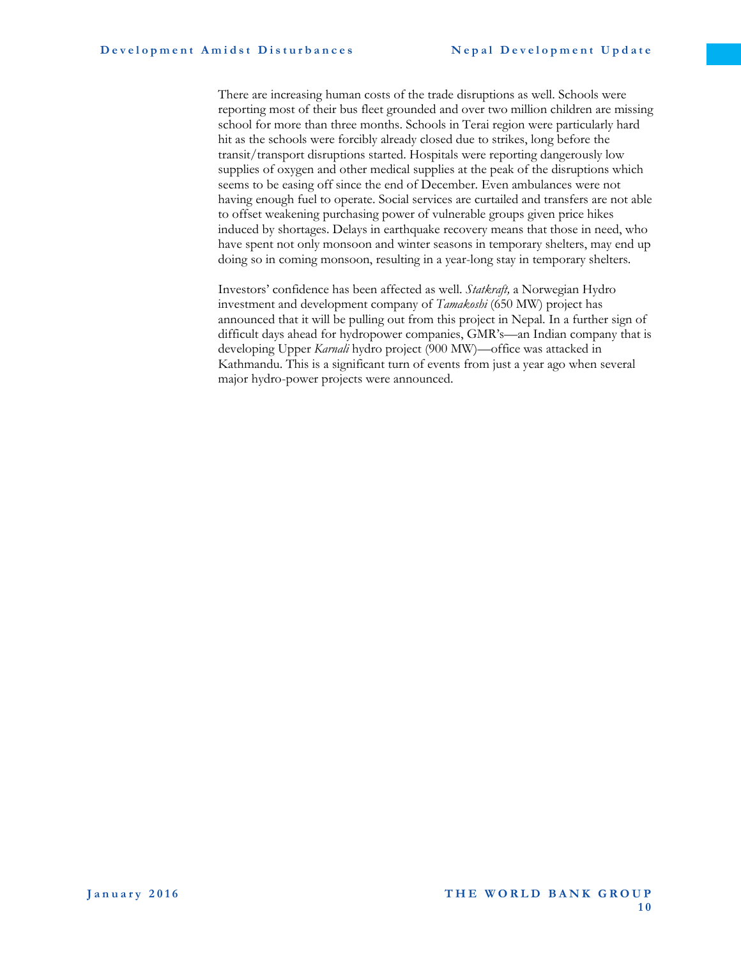There are increasing human costs of the trade disruptions as well. Schools were reporting most of their bus fleet grounded and over two million children are missing school for more than three months. Schools in Terai region were particularly hard hit as the schools were forcibly already closed due to strikes, long before the transit/transport disruptions started. Hospitals were reporting dangerously low supplies of oxygen and other medical supplies at the peak of the disruptions which seems to be easing off since the end of December. Even ambulances were not having enough fuel to operate. Social services are curtailed and transfers are not able to offset weakening purchasing power of vulnerable groups given price hikes induced by shortages. Delays in earthquake recovery means that those in need, who have spent not only monsoon and winter seasons in temporary shelters, may end up doing so in coming monsoon, resulting in a year-long stay in temporary shelters.

Investors' confidence has been affected as well. *Statkraft,* a Norwegian Hydro investment and development company of *Tamakoshi* (650 MW) project has announced that it will be pulling out from this project in Nepal. In a further sign of difficult days ahead for hydropower companies, GMR's—an Indian company that is developing Upper *Karnali* hydro project (900 MW)—office was attacked in Kathmandu. This is a significant turn of events from just a year ago when several major hydro-power projects were announced.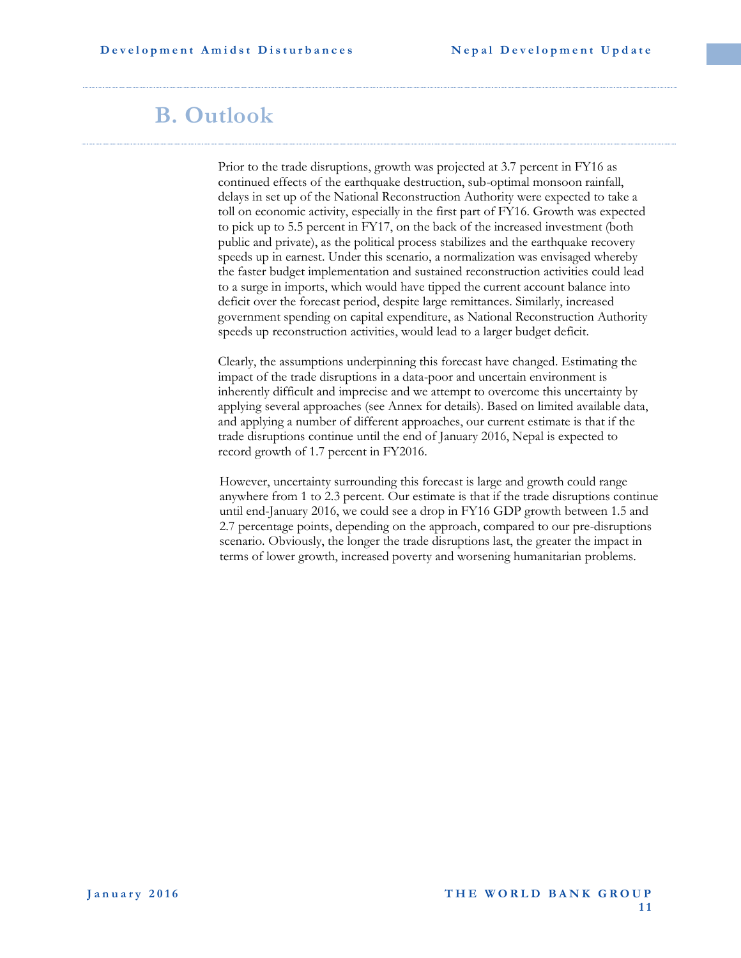## <span id="page-19-0"></span>**B. Outlook**

Prior to the trade disruptions, growth was projected at 3.7 percent in FY16 as continued effects of the earthquake destruction, sub-optimal monsoon rainfall, delays in set up of the National Reconstruction Authority were expected to take a toll on economic activity, especially in the first part of FY16. Growth was expected to pick up to 5.5 percent in FY17, on the back of the increased investment (both public and private), as the political process stabilizes and the earthquake recovery speeds up in earnest. Under this scenario, a normalization was envisaged whereby the faster budget implementation and sustained reconstruction activities could lead to a surge in imports, which would have tipped the current account balance into deficit over the forecast period, despite large remittances. Similarly, increased government spending on capital expenditure, as National Reconstruction Authority speeds up reconstruction activities, would lead to a larger budget deficit.

Clearly, the assumptions underpinning this forecast have changed. Estimating the impact of the trade disruptions in a data-poor and uncertain environment is inherently difficult and imprecise and we attempt to overcome this uncertainty by applying several approaches (see Annex for details). Based on limited available data, and applying a number of different approaches, our current estimate is that if the trade disruptions continue until the end of January 2016, Nepal is expected to record growth of 1.7 percent in FY2016.

However, uncertainty surrounding this forecast is large and growth could range anywhere from 1 to 2.3 percent. Our estimate is that if the trade disruptions continue until end-January 2016, we could see a drop in FY16 GDP growth between 1.5 and 2.7 percentage points, depending on the approach, compared to our pre-disruptions scenario. Obviously, the longer the trade disruptions last, the greater the impact in terms of lower growth, increased poverty and worsening humanitarian problems.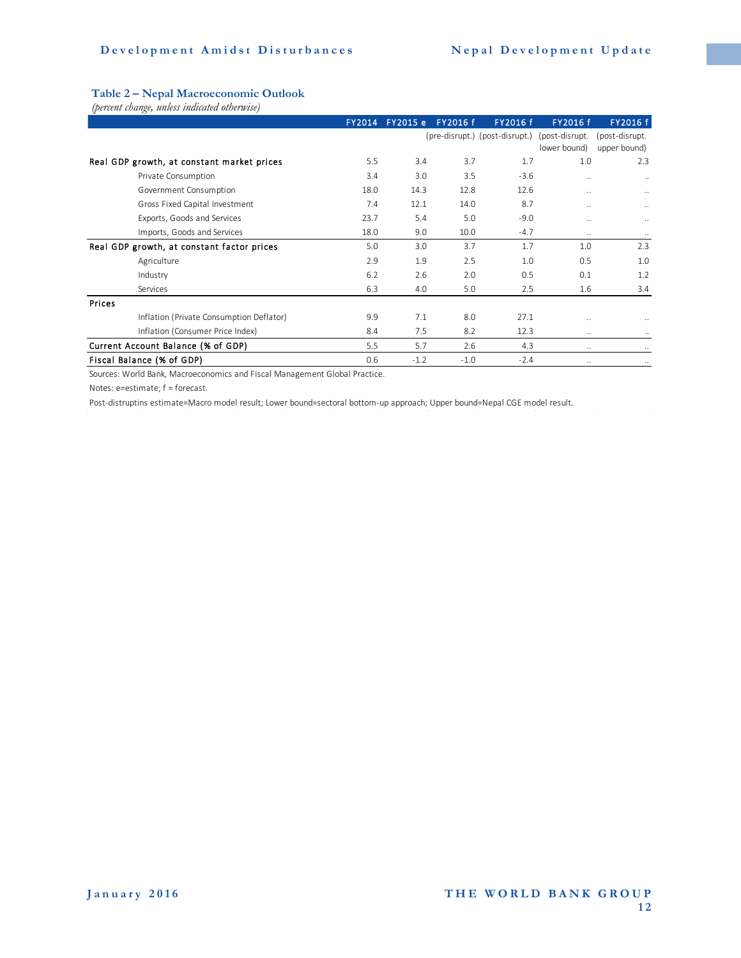#### **Table 2 – Nepal Macroeconomic Outlook**

|        |                                                                            | <b>FY2014</b> | FY2015 e | <b>FY2016 f</b> | FY2016 f                       | FY2016 f       | FY2016 f             |
|--------|----------------------------------------------------------------------------|---------------|----------|-----------------|--------------------------------|----------------|----------------------|
|        |                                                                            |               |          |                 | (pre-disrupt.) (post-disrupt.) | (post-disrupt. | (post-disrupt.       |
|        |                                                                            |               |          |                 |                                | lower bound)   | upper bound)         |
|        | Real GDP growth, at constant market prices                                 | 5.5           | 3.4      | 3.7             | 1.7                            | 1.0            | 2.3                  |
|        | Private Consumption                                                        | 3.4           | 3.0      | 3.5             | $-3.6$                         | $\ddotsc$      |                      |
|        | Government Consumption                                                     | 18.0          | 14.3     | 12.8            | 12.6                           | $\ddotsc$      | $\ddotsc$            |
|        | Gross Fixed Capital Investment                                             | 7.4           | 12.1     | 14.0            | 8.7                            | $\ddotsc$      | $\ddotsc$            |
|        | Exports, Goods and Services                                                | 23.7          | 5.4      | 5.0             | $-9.0$                         | $\ddotsc$      |                      |
|        | Imports, Goods and Services                                                | 18.0          | 9.0      | 10.0            | $-4.7$                         | $\ldots$       | $\cdots$             |
|        | Real GDP growth, at constant factor prices                                 | 5.0           | 3.0      | 3.7             | 1.7                            | 1.0            | 2.3                  |
|        | Agriculture                                                                | 2.9           | 1.9      | 2.5             | 1.0                            | 0.5            | 1.0                  |
|        | Industry                                                                   | 6.2           | 2.6      | 2.0             | 0.5                            | 0.1            | 1.2                  |
|        | Services                                                                   | 6.3           | 4.0      | 5.0             | 2.5                            | 1.6            | 3.4                  |
| Prices |                                                                            |               |          |                 |                                |                |                      |
|        | Inflation (Private Consumption Deflator)                                   | 9.9           | 7.1      | 8.0             | 27.1                           | $\ddotsc$      |                      |
|        | Inflation (Consumer Price Index)                                           | 8.4           | 7.5      | 8.2             | 12.3                           | $\ddotsc$      | $\ddot{\phantom{a}}$ |
|        | Current Account Balance (% of GDP)                                         | 5.5           | 5.7      | 2.6             | 4.3                            | $\ddotsc$      |                      |
|        | Fiscal Balance (% of GDP)                                                  | 0.6           | $-1.2$   | $-1.0$          | $-2.4$                         | $\ldots$       |                      |
|        | Sources: World Bank, Macroeconomics and Fiscal Management Global Practice. |               |          |                 |                                |                |                      |

Notes: e=estimate; f = forecast.

Post-distruptins estimate=Macro model result; Lower bound=sectoral bottom-up approach; Upper bound=Nepal CGE model result.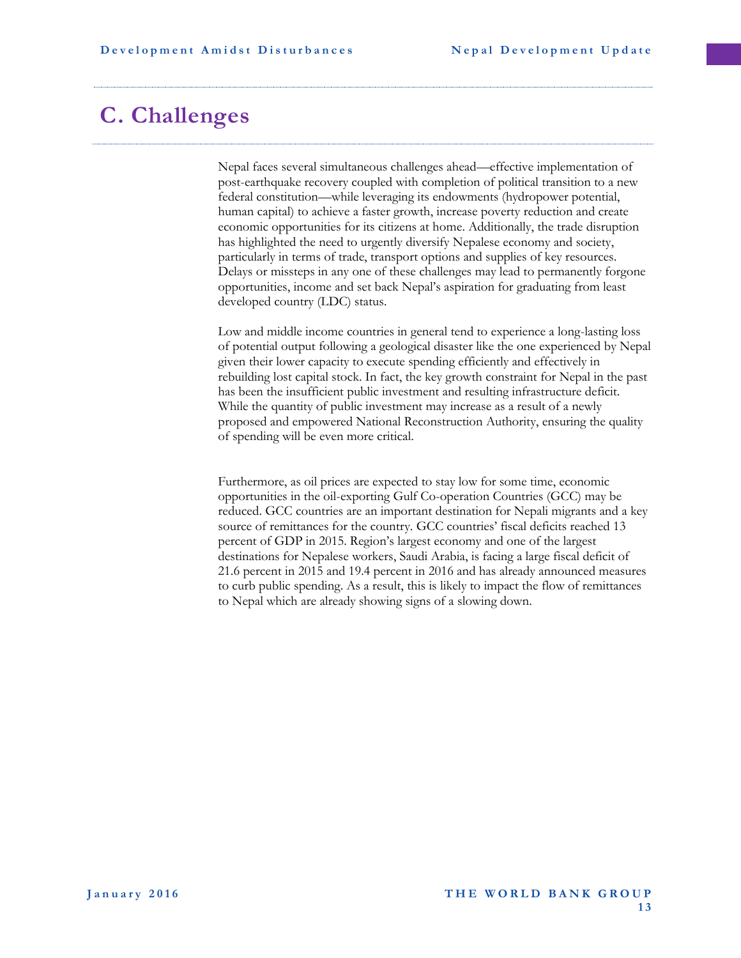### <span id="page-21-0"></span>**C. Challenges**

Nepal faces several simultaneous challenges ahead—effective implementation of post-earthquake recovery coupled with completion of political transition to a new federal constitution—while leveraging its endowments (hydropower potential, human capital) to achieve a faster growth, increase poverty reduction and create economic opportunities for its citizens at home. Additionally, the trade disruption has highlighted the need to urgently diversify Nepalese economy and society, particularly in terms of trade, transport options and supplies of key resources. Delays or missteps in any one of these challenges may lead to permanently forgone opportunities, income and set back Nepal's aspiration for graduating from least developed country (LDC) status.

Low and middle income countries in general tend to experience a long-lasting loss of potential output following a geological disaster like the one experienced by Nepal given their lower capacity to execute spending efficiently and effectively in rebuilding lost capital stock. In fact, the key growth constraint for Nepal in the past has been the insufficient public investment and resulting infrastructure deficit. While the quantity of public investment may increase as a result of a newly proposed and empowered National Reconstruction Authority, ensuring the quality of spending will be even more critical.

Furthermore, as oil prices are expected to stay low for some time, economic opportunities in the oil-exporting Gulf Co-operation Countries (GCC) may be reduced. GCC countries are an important destination for Nepali migrants and a key source of remittances for the country. GCC countries' fiscal deficits reached 13 percent of GDP in 2015. Region's largest economy and one of the largest destinations for Nepalese workers, [Saudi Arabia,](http://www.ft.com/topics/places/Saudi_Arabia) is facing a large fiscal deficit of 21.6 percent in 2015 and 19.4 percent in 2016 and has already announced measures to curb public spending. As a result, this is likely to impact the flow of remittances to Nepal which are already showing signs of a slowing down.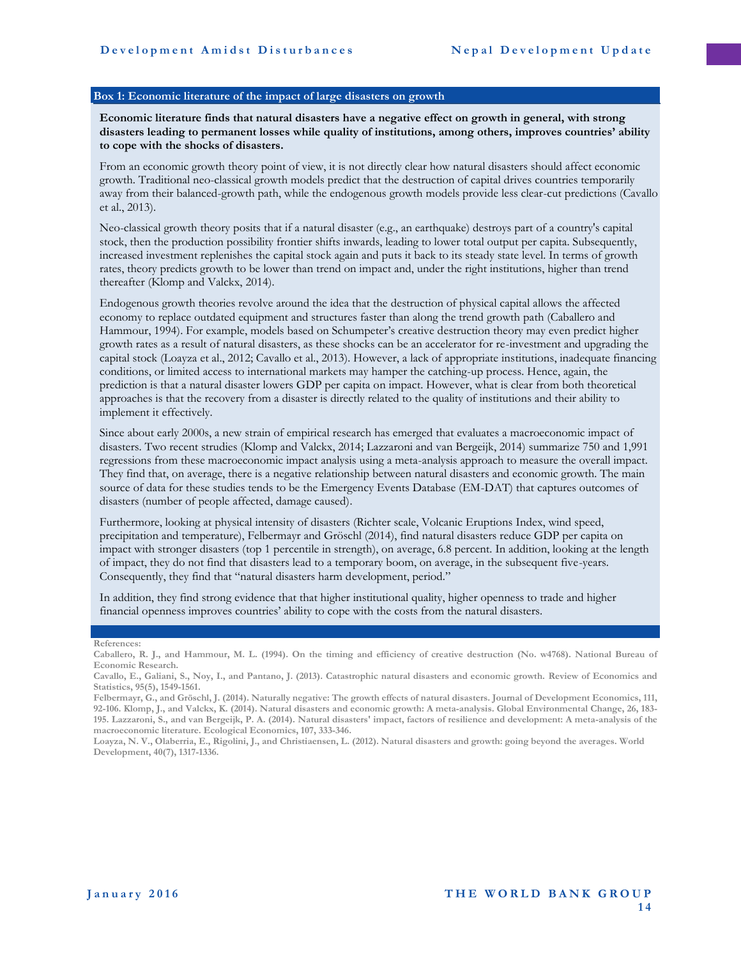#### <span id="page-22-0"></span>**Box 1: Economic literature of the impact of large disasters on growth**

**Economic literature finds that natural disasters have a negative effect on growth in general, with strong disasters leading to permanent losses while quality of institutions, among others, improves countries' ability to cope with the shocks of disasters.**

From an economic growth theory point of view, it is not directly clear how natural disasters should affect economic growth. Traditional neo-classical growth models predict that the destruction of capital drives countries temporarily away from their balanced-growth path, while the endogenous growth models provide less clear-cut predictions (Cavallo et al., 2013).

Neo-classical growth theory posits that if a natural disaster (e.g., an earthquake) destroys part of a country's capital stock, then the production possibility frontier shifts inwards, leading to lower total output per capita. Subsequently, increased investment replenishes the capital stock again and puts it back to its steady state level. In terms of growth rates, theory predicts growth to be lower than trend on impact and, under the right institutions, higher than trend thereafter (Klomp and Valckx, 2014).

Endogenous growth theories revolve around the idea that the destruction of physical capital allows the affected economy to replace outdated equipment and structures faster than along the trend growth path (Caballero and Hammour, 1994). For example, models based on Schumpeter's creative destruction theory may even predict higher growth rates as a result of natural disasters, as these shocks can be an accelerator for re-investment and upgrading the capital stock (Loayza et al., 2012; Cavallo et al., 2013). However, a lack of appropriate institutions, inadequate financing conditions, or limited access to international markets may hamper the catching-up process. Hence, again, the prediction is that a natural disaster lowers GDP per capita on impact. However, what is clear from both theoretical approaches is that the recovery from a disaster is directly related to the quality of institutions and their ability to implement it effectively.

Since about early 2000s, a new strain of empirical research has emerged that evaluates a macroeconomic impact of disasters. Two recent strudies (Klomp and Valckx, 2014; Lazzaroni and van Bergeijk, 2014) summarize 750 and 1,991 regressions from these macroeconomic impact analysis using a meta-analysis approach to measure the overall impact. They find that, on average, there is a negative relationship between natural disasters and economic growth. The main source of data for these studies tends to be the Emergency Events Database (EM-DAT) that captures outcomes of disasters (number of people affected, damage caused).

Furthermore, looking at physical intensity of disasters (Richter scale, Volcanic Eruptions Index, wind speed, precipitation and temperature), Felbermayr and Gröschl (2014), find natural disasters reduce GDP per capita on impact with stronger disasters (top 1 percentile in strength), on average, 6.8 percent. In addition, looking at the length of impact, they do not find that disasters lead to a temporary boom, on average, in the subsequent five-years. Consequently, they find that "natural disasters harm development, period."

In addition, they find strong evidence that that higher institutional quality, higher openness to trade and higher financial openness improves countries' ability to cope with the costs from the natural disasters.

**References:** 

**Caballero, R. J., and Hammour, M. L. (1994). On the timing and efficiency of creative destruction (No. w4768). National Bureau of Economic Research.**

**Cavallo, E., Galiani, S., Noy, I., and Pantano, J. (2013). Catastrophic natural disasters and economic growth. Review of Economics and Statistics, 95(5), 1549-1561.**

**Felbermayr, G., and Gröschl, J. (2014). Naturally negative: The growth effects of natural disasters. Journal of Development Economics, 111, 92-106. Klomp, J., and Valckx, K. (2014). Natural disasters and economic growth: A meta-analysis. Global Environmental Change, 26, 183- 195. Lazzaroni, S., and van Bergeijk, P. A. (2014). Natural disasters' impact, factors of resilience and development: A meta-analysis of the macroeconomic literature. Ecological Economics, 107, 333-346.**

**Loayza, N. V., Olaberria, E., Rigolini, J., and Christiaensen, L. (2012). Natural disasters and growth: going beyond the averages. World Development, 40(7), 1317-1336.**